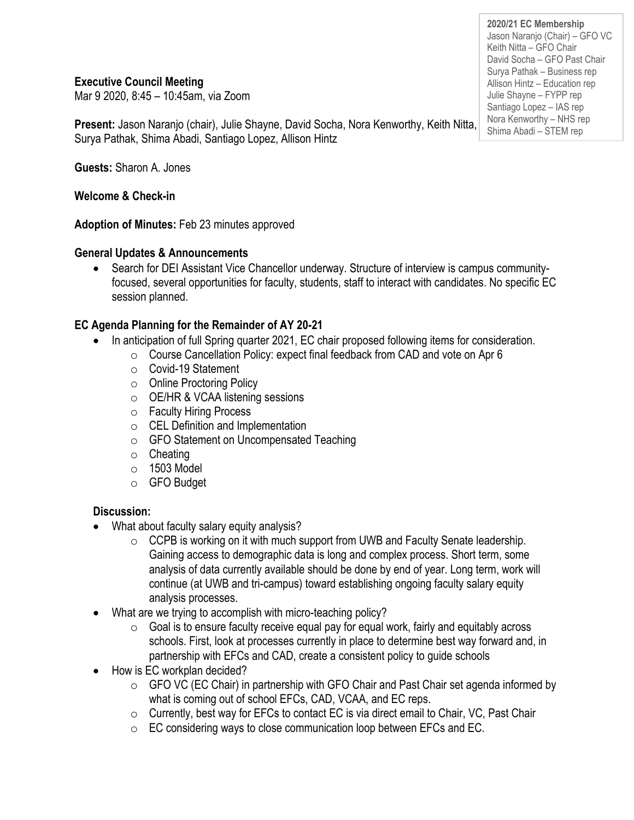**Executive Council Meeting**

Mar 9 2020, 8:45 – 10:45am, via Zoom

**Present:** Jason Naranjo (chair), Julie Shayne, David Socha, Nora Kenworthy, Keith Nitta, Surya Pathak, Shima Abadi, Santiago Lopez, Allison Hintz

**Guests:** Sharon A. Jones

## **Welcome & Check-in**

**Adoption of Minutes:** Feb 23 minutes approved

### **General Updates & Announcements**

• Search for DEI Assistant Vice Chancellor underway. Structure of interview is campus communityfocused, several opportunities for faculty, students, staff to interact with candidates. No specific EC session planned.

# **EC Agenda Planning for the Remainder of AY 20-21**

- In anticipation of full Spring quarter 2021, EC chair proposed following items for consideration.
	- o Course Cancellation Policy: expect final feedback from CAD and vote on Apr 6
		- o Covid-19 Statement
		- o Online Proctoring Policy
		- $\circ$  OE/HR & VCAA listening sessions
		- o Faculty Hiring Process
		- o CEL Definition and Implementation
		- o GFO Statement on Uncompensated Teaching
		- o Cheating
		- $\circ$  1503 Model
		- o GFO Budget

# **Discussion:**

- What about faculty salary equity analysis?
	- o CCPB is working on it with much support from UWB and Faculty Senate leadership. Gaining access to demographic data is long and complex process. Short term, some analysis of data currently available should be done by end of year. Long term, work will continue (at UWB and tri-campus) toward establishing ongoing faculty salary equity analysis processes.
- What are we trying to accomplish with micro-teaching policy?
	- $\circ$  Goal is to ensure faculty receive equal pay for equal work, fairly and equitably across schools. First, look at processes currently in place to determine best way forward and, in partnership with EFCs and CAD, create a consistent policy to guide schools
- How is EC workplan decided?
	- $\circ$  GFO VC (EC Chair) in partnership with GFO Chair and Past Chair set agenda informed by what is coming out of school EFCs, CAD, VCAA, and EC reps.
	- $\circ$  Currently, best way for EFCs to contact EC is via direct email to Chair, VC, Past Chair
	- $\circ$  EC considering ways to close communication loop between EFCs and EC.

**2020/21 EC Membership** Jason Naranjo (Chair) – GFO VC Keith Nitta – GFO Chair David Socha – GFO Past Chair Surya Pathak – Business rep Allison Hintz – Education rep Julie Shayne – FYPP rep Santiago Lopez – IAS rep Nora Kenworthy – NHS rep Shima Abadi – STEM rep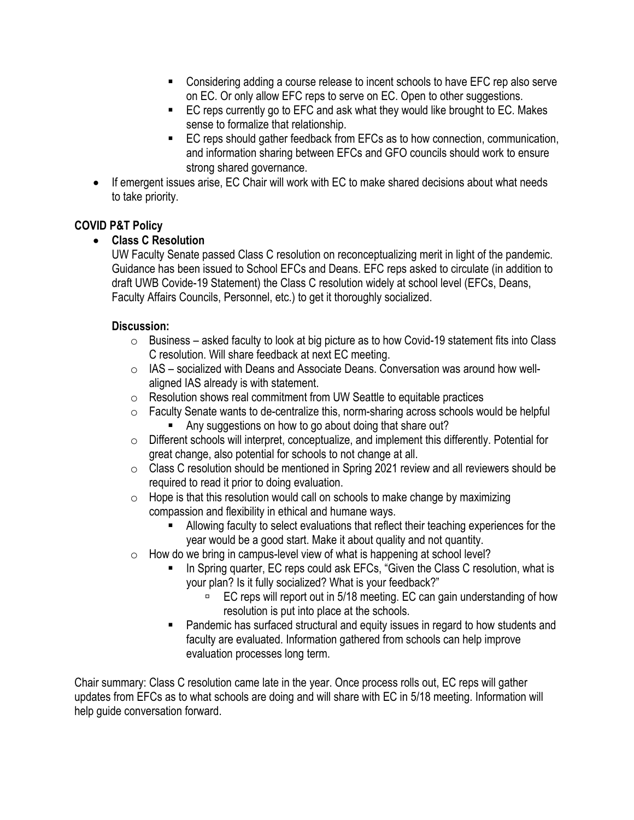- Considering adding a course release to incent schools to have EFC rep also serve on EC. Or only allow EFC reps to serve on EC. Open to other suggestions.
- EC reps currently go to EFC and ask what they would like brought to EC. Makes sense to formalize that relationship.
- EC reps should gather feedback from EFCs as to how connection, communication, and information sharing between EFCs and GFO councils should work to ensure strong shared governance.
- If emergent issues arise, EC Chair will work with EC to make shared decisions about what needs to take priority.

# **COVID P&T Policy**

# • **Class C Resolution**

UW Faculty Senate passed Class C resolution on reconceptualizing merit in light of the pandemic. Guidance has been issued to School EFCs and Deans. EFC reps asked to circulate (in addition to draft UWB Covide-19 Statement) the Class C resolution widely at school level (EFCs, Deans, Faculty Affairs Councils, Personnel, etc.) to get it thoroughly socialized.

### **Discussion:**

- $\circ$  Business asked faculty to look at big picture as to how Covid-19 statement fits into Class C resolution. Will share feedback at next EC meeting.
- o IAS socialized with Deans and Associate Deans. Conversation was around how wellaligned IAS already is with statement.
- o Resolution shows real commitment from UW Seattle to equitable practices
- o Faculty Senate wants to de-centralize this, norm-sharing across schools would be helpful ■ Any suggestions on how to go about doing that share out?
- o Different schools will interpret, conceptualize, and implement this differently. Potential for great change, also potential for schools to not change at all.
- o Class C resolution should be mentioned in Spring 2021 review and all reviewers should be required to read it prior to doing evaluation.
- $\circ$  Hope is that this resolution would call on schools to make change by maximizing compassion and flexibility in ethical and humane ways.
	- Allowing faculty to select evaluations that reflect their teaching experiences for the year would be a good start. Make it about quality and not quantity.
- $\circ$  How do we bring in campus-level view of what is happening at school level?
	- In Spring quarter, EC reps could ask EFCs, "Given the Class C resolution, what is your plan? Is it fully socialized? What is your feedback?"
		- $\Box$  EC reps will report out in 5/18 meeting. EC can gain understanding of how resolution is put into place at the schools.
	- Pandemic has surfaced structural and equity issues in regard to how students and faculty are evaluated. Information gathered from schools can help improve evaluation processes long term.

Chair summary: Class C resolution came late in the year. Once process rolls out, EC reps will gather updates from EFCs as to what schools are doing and will share with EC in 5/18 meeting. Information will help guide conversation forward.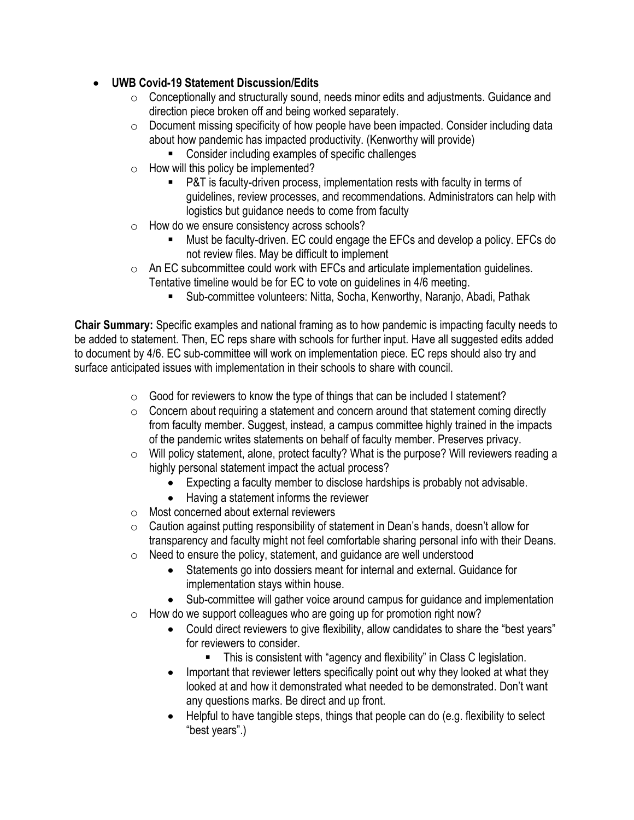# • **UWB Covid-19 Statement Discussion/Edits**

- o Conceptionally and structurally sound, needs minor edits and adjustments. Guidance and direction piece broken off and being worked separately.
- o Document missing specificity of how people have been impacted. Consider including data about how pandemic has impacted productivity. (Kenworthy will provide)
	- Consider including examples of specific challenges
- $\circ$  How will this policy be implemented?
	- P&T is faculty-driven process, implementation rests with faculty in terms of guidelines, review processes, and recommendations. Administrators can help with logistics but guidance needs to come from faculty
- $\circ$  How do we ensure consistency across schools?
	- Must be faculty-driven. EC could engage the EFCs and develop a policy. EFCs do not review files. May be difficult to implement
- o An EC subcommittee could work with EFCs and articulate implementation guidelines. Tentative timeline would be for EC to vote on guidelines in 4/6 meeting.
	- Sub-committee volunteers: Nitta, Socha, Kenworthy, Naranio, Abadi, Pathak

**Chair Summary:** Specific examples and national framing as to how pandemic is impacting faculty needs to be added to statement. Then, EC reps share with schools for further input. Have all suggested edits added to document by 4/6. EC sub-committee will work on implementation piece. EC reps should also try and surface anticipated issues with implementation in their schools to share with council.

- $\circ$  Good for reviewers to know the type of things that can be included I statement?
- $\circ$  Concern about requiring a statement and concern around that statement coming directly from faculty member. Suggest, instead, a campus committee highly trained in the impacts of the pandemic writes statements on behalf of faculty member. Preserves privacy.
- $\circ$  Will policy statement, alone, protect faculty? What is the purpose? Will reviewers reading a highly personal statement impact the actual process?
	- Expecting a faculty member to disclose hardships is probably not advisable.
	- Having a statement informs the reviewer
- o Most concerned about external reviewers
- $\circ$  Caution against putting responsibility of statement in Dean's hands, doesn't allow for transparency and faculty might not feel comfortable sharing personal info with their Deans.
- o Need to ensure the policy, statement, and guidance are well understood
	- Statements go into dossiers meant for internal and external. Guidance for implementation stays within house.
	- Sub-committee will gather voice around campus for guidance and implementation
- $\circ$  How do we support colleagues who are going up for promotion right now?
	- Could direct reviewers to give flexibility, allow candidates to share the "best years" for reviewers to consider.
		- This is consistent with "agency and flexibility" in Class C legislation.
	- Important that reviewer letters specifically point out why they looked at what they looked at and how it demonstrated what needed to be demonstrated. Don't want any questions marks. Be direct and up front.
	- Helpful to have tangible steps, things that people can do (e.g. flexibility to select "best years".)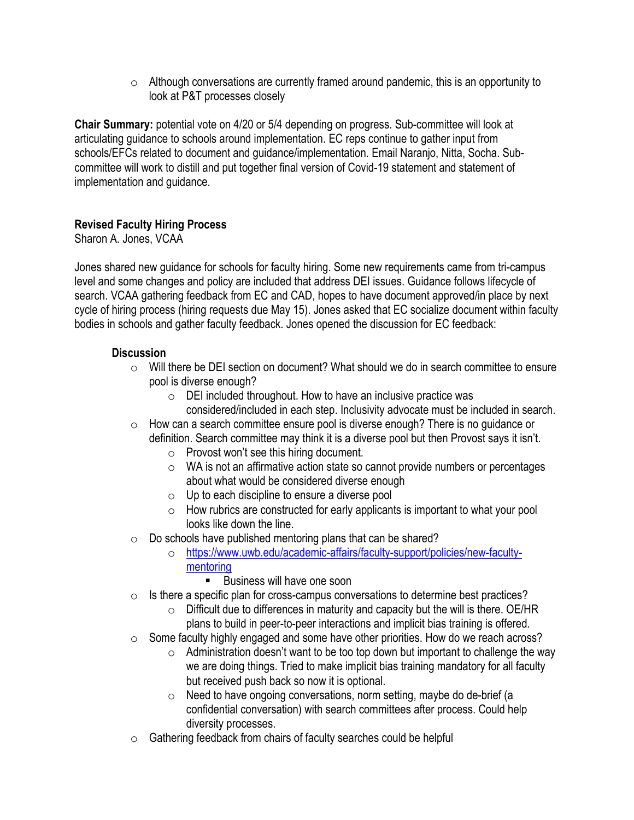$\circ$  Although conversations are currently framed around pandemic, this is an opportunity to look at P&T processes closely

**Chair Summary:** potential vote on 4/20 or 5/4 depending on progress. Sub-committee will look at articulating guidance to schools around implementation. EC reps continue to gather input from schools/EFCs related to document and guidance/implementation. Email Naranjo, Nitta, Socha. Subcommittee will work to distill and put together final version of Covid-19 statement and statement of implementation and guidance.

### **Revised Faculty Hiring Process**

Sharon A. Jones, VCAA

Jones shared new guidance for schools for faculty hiring. Some new requirements came from tri-campus level and some changes and policy are included that address DEI issues. Guidance follows lifecycle of search. VCAA gathering feedback from EC and CAD, hopes to have document approved/in place by next cycle of hiring process (hiring requests due May 15). Jones asked that EC socialize document within faculty bodies in schools and gather faculty feedback. Jones opened the discussion for EC feedback:

#### **Discussion**

- $\circ$  Will there be DEI section on document? What should we do in search committee to ensure pool is diverse enough?
	- o DEI included throughout. How to have an inclusive practice was considered/included in each step. Inclusivity advocate must be included in search.
- o How can a search committee ensure pool is diverse enough? There is no guidance or definition. Search committee may think it is a diverse pool but then Provost says it isn't.
	- o Provost won't see this hiring document.
	- o WA is not an affirmative action state so cannot provide numbers or percentages about what would be considered diverse enough
	- $\circ$  Up to each discipline to ensure a diverse pool
	- $\circ$  How rubrics are constructed for early applicants is important to what your pool looks like down the line.
- $\circ$  Do schools have published mentoring plans that can be shared?
	- o [https://www.uwb.edu/academic-affairs/faculty-support/policies/new-faculty](https://www.uwb.edu/academic-affairs/faculty-support/policies/new-faculty-mentoring)[mentoring](https://www.uwb.edu/academic-affairs/faculty-support/policies/new-faculty-mentoring)
		- Business will have one soon
- $\circ$  Is there a specific plan for cross-campus conversations to determine best practices?
	- o Difficult due to differences in maturity and capacity but the will is there. OE/HR plans to build in peer-to-peer interactions and implicit bias training is offered.
- o Some faculty highly engaged and some have other priorities. How do we reach across?
	- $\circ$  Administration doesn't want to be too top down but important to challenge the way we are doing things. Tried to make implicit bias training mandatory for all faculty but received push back so now it is optional.
	- o Need to have ongoing conversations, norm setting, maybe do de-brief (a confidential conversation) with search committees after process. Could help diversity processes.
- $\circ$  Gathering feedback from chairs of faculty searches could be helpful